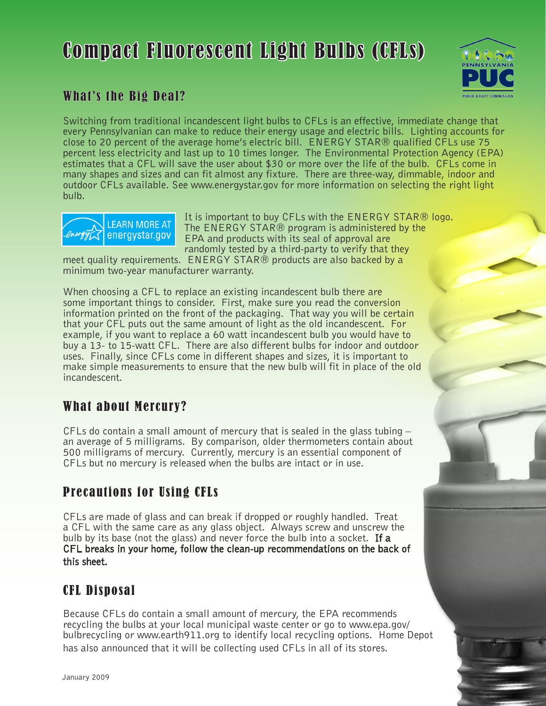# Compact Fluorescent Light Bulbs (CFLs)



# What's the Big Deal?

Switching from traditional incandescent light bulbs to CFLs is an effective, immediate change that every Pennsylvanian can make to reduce their energy usage and electric bills. Lighting accounts for close to 20 percent of the average home's electric bill. ENERGY STAR® qualified CFLs use 75 percent less electricity and last up to 10 times longer. The Environmental Protection Agency (EPA) estimates that a CFL will save the user about \$30 or more over the life of the bulb. CFLs come in many shapes and sizes and can fit almost any fixture. There are three-way, dimmable, indoor and outdoor CFLs available. See www.energystar.gov for more information on selecting the right light bulb.



It is important to buy CFLs with the ENERGY STAR® logo. The ENERGY STAR® program is administered by the EPA and products with its seal of approval are randomly tested by a third-party to verify that they

meet quality requirements. ENERGY STAR® products are also backed by a minimum two-year manufacturer warranty.

When choosing a CFL to replace an existing incandescent bulb there are some important things to consider. First, make sure you read the conversion information printed on the front of the packaging. That way you will be certain that your CFL puts out the same amount of light as the old incandescent. For example, if you want to replace a 60 watt incandescent bulb you would have to buy a 13- to 15-watt CFL. There are also different bulbs for indoor and outdoor uses. Finally, since CFLs come in different shapes and sizes, it is important to make simple measurements to ensure that the new bulb will fit in place of the old incandescent.

# What about Mercury?

CFLs do contain a small amount of mercury that is sealed in the glass tubing – an average of 5 milligrams. By comparison, older thermometers contain about 500 milligrams of mercury. Currently, mercury is an essential component of CFLs but no mercury is released when the bulbs are intact or in use.

# Precautions for Using CFLs

CFLs are made of glass and can break if dropped or roughly handled. Treat a CFL with the same care as any glass object. Always screw and unscrew the bulb by its base (not the glass) and never force the bulb into a socket. If a CFL breaks in your home, follow the clean-up recommendations on the back of this sheet.

# CFL Disposal

Because CFLs do contain a small amount of mercury, the EPA recommends recycling the bulbs at your local municipal waste center or go to www.epa.gov/ bulbrecycling or www.earth911.org to identify local recycling options. Home Depot has also announced that it will be collecting used CFLs in all of its stores.